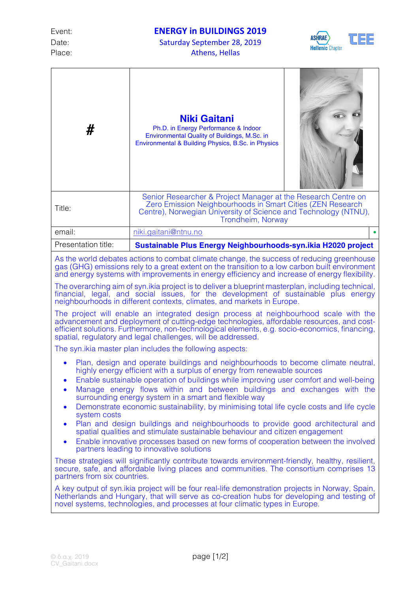Date: Saturday September 28, 2019 Place: Athens, Hellas



| #                                                                                                                                                                                                                                                                                                                                                                                                                                                                                                                                                                                                                                                                                                                                                                                                                                                                                                                          | <b>Niki Gaitani</b><br>Ph.D. in Energy Performance & Indoor<br>Environmental Quality of Buildings, M.Sc. in<br>Environmental & Building Physics, B.Sc. in Physics                                                   |  |  |  |
|----------------------------------------------------------------------------------------------------------------------------------------------------------------------------------------------------------------------------------------------------------------------------------------------------------------------------------------------------------------------------------------------------------------------------------------------------------------------------------------------------------------------------------------------------------------------------------------------------------------------------------------------------------------------------------------------------------------------------------------------------------------------------------------------------------------------------------------------------------------------------------------------------------------------------|---------------------------------------------------------------------------------------------------------------------------------------------------------------------------------------------------------------------|--|--|--|
| Title:                                                                                                                                                                                                                                                                                                                                                                                                                                                                                                                                                                                                                                                                                                                                                                                                                                                                                                                     | Senior Researcher & Project Manager at the Research Centre on<br>Zero Emission Neighbourhoods in Smart Cities (ZEN Research<br>Centre), Norwegian University of Science and Technology (NTNU),<br>Trondheim, Norway |  |  |  |
| email:                                                                                                                                                                                                                                                                                                                                                                                                                                                                                                                                                                                                                                                                                                                                                                                                                                                                                                                     | niki.gaitani@ntnu.no                                                                                                                                                                                                |  |  |  |
| Presentation title:                                                                                                                                                                                                                                                                                                                                                                                                                                                                                                                                                                                                                                                                                                                                                                                                                                                                                                        | Sustainable Plus Energy Neighbourhoods-syn.ikia H2020 project                                                                                                                                                       |  |  |  |
| As the world debates actions to combat climate change, the success of reducing greenhouse<br>gas (GHG) emissions rely to a great extent on the transition to a low carbon built environment<br>and energy systems with improvements in energy efficiency and increase of energy flexibility.<br>The overarching aim of syn. ikia project is to deliver a blueprint masterplan, including technical,<br>financial, legal, and social issues, for the development of sustainable plus energy<br>neighbourhoods in different contexts, climates, and markets in Europe.<br>The project will enable an integrated design process at neighbourhood scale with the<br>advancement and deployment of cutting-edge technologies, affordable resources, and cost-<br>efficient solutions. Furthermore, non-technological elements, e.g. socio-economics, financing,<br>spatial, regulatory and legal challenges, will be addressed. |                                                                                                                                                                                                                     |  |  |  |
| The syn. ikia master plan includes the following aspects:                                                                                                                                                                                                                                                                                                                                                                                                                                                                                                                                                                                                                                                                                                                                                                                                                                                                  |                                                                                                                                                                                                                     |  |  |  |
| Plan, design and operate buildings and neighbourhoods to become climate neutral,<br>highly energy efficient with a surplus of energy from renewable sources<br>Enable sustainable operation of buildings while improving user comfort and well-being<br>Manage energy flows within and between buildings and exchanges with the<br>$\bullet$<br>surrounding energy system in a smart and flexible way<br>Demonstrate economic sustainability, by minimising total life cycle costs and life cycle<br>$\bullet$<br>system costs<br>Plan and design buildings and neighbourhoods to provide good architectural and<br>$\bullet$<br>spatial qualities and stimulate sustainable behaviour and citizen engagement                                                                                                                                                                                                              |                                                                                                                                                                                                                     |  |  |  |
| $\bullet$                                                                                                                                                                                                                                                                                                                                                                                                                                                                                                                                                                                                                                                                                                                                                                                                                                                                                                                  | Enable innovative processes based on new forms of cooperation between the involved<br>partners leading to innovative solutions                                                                                      |  |  |  |
| These strategies will significantly contribute towards environment-friendly, healthy, resilient,<br>secure, safe, and affordable living places and communities. The consortium comprises 13<br>partners from six countries.                                                                                                                                                                                                                                                                                                                                                                                                                                                                                                                                                                                                                                                                                                |                                                                                                                                                                                                                     |  |  |  |
| A key output of syn.ikia project will be four real-life demonstration projects in Norway, Spain,<br>Netherlands and Hungary, that will serve as co-creation hubs for developing and testing of<br>novel systems, technologies, and processes at four climatic types in Europe.                                                                                                                                                                                                                                                                                                                                                                                                                                                                                                                                                                                                                                             |                                                                                                                                                                                                                     |  |  |  |